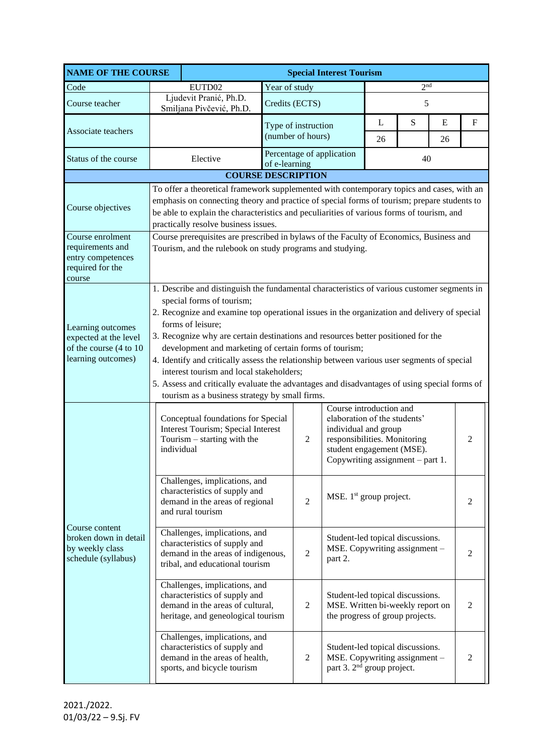| <b>NAME OF THE COURSE</b>                                                                  |                                                                                                                                                                                                                                                                                                                                                                                                                                                                                                                                                                                                                                                                                          | <b>Special Interest Tourism</b>                                                                           |                   |                                            |         |                                                                                                                                                                                  |    |   |                |  |
|--------------------------------------------------------------------------------------------|------------------------------------------------------------------------------------------------------------------------------------------------------------------------------------------------------------------------------------------------------------------------------------------------------------------------------------------------------------------------------------------------------------------------------------------------------------------------------------------------------------------------------------------------------------------------------------------------------------------------------------------------------------------------------------------|-----------------------------------------------------------------------------------------------------------|-------------------|--------------------------------------------|---------|----------------------------------------------------------------------------------------------------------------------------------------------------------------------------------|----|---|----------------|--|
| Code                                                                                       | EUTD02                                                                                                                                                                                                                                                                                                                                                                                                                                                                                                                                                                                                                                                                                   |                                                                                                           | Year of study     |                                            |         | 2 <sup>nd</sup>                                                                                                                                                                  |    |   |                |  |
| Course teacher                                                                             |                                                                                                                                                                                                                                                                                                                                                                                                                                                                                                                                                                                                                                                                                          | Ljudevit Pranić, Ph.D.<br>Smiljana Pivčević, Ph.D.                                                        | Credits (ECTS)    |                                            | 5       |                                                                                                                                                                                  |    |   |                |  |
| Associate teachers                                                                         |                                                                                                                                                                                                                                                                                                                                                                                                                                                                                                                                                                                                                                                                                          |                                                                                                           |                   | Type of instruction                        |         | L                                                                                                                                                                                | S  | E | $\mathbf F$    |  |
|                                                                                            |                                                                                                                                                                                                                                                                                                                                                                                                                                                                                                                                                                                                                                                                                          |                                                                                                           | (number of hours) |                                            | 26      |                                                                                                                                                                                  | 26 |   |                |  |
| Status of the course                                                                       |                                                                                                                                                                                                                                                                                                                                                                                                                                                                                                                                                                                                                                                                                          | Elective                                                                                                  |                   | Percentage of application<br>of e-learning |         |                                                                                                                                                                                  | 40 |   |                |  |
|                                                                                            |                                                                                                                                                                                                                                                                                                                                                                                                                                                                                                                                                                                                                                                                                          | <b>COURSE DESCRIPTION</b>                                                                                 |                   |                                            |         |                                                                                                                                                                                  |    |   |                |  |
| Course objectives                                                                          | To offer a theoretical framework supplemented with contemporary topics and cases, with an<br>emphasis on connecting theory and practice of special forms of tourism; prepare students to<br>be able to explain the characteristics and peculiarities of various forms of tourism, and<br>practically resolve business issues.                                                                                                                                                                                                                                                                                                                                                            |                                                                                                           |                   |                                            |         |                                                                                                                                                                                  |    |   |                |  |
| Course enrolment<br>requirements and<br>entry competences<br>required for the<br>course    | Course prerequisites are prescribed in bylaws of the Faculty of Economics, Business and<br>Tourism, and the rulebook on study programs and studying.                                                                                                                                                                                                                                                                                                                                                                                                                                                                                                                                     |                                                                                                           |                   |                                            |         |                                                                                                                                                                                  |    |   |                |  |
| Learning outcomes<br>expected at the level<br>of the course (4 to 10<br>learning outcomes) | 1. Describe and distinguish the fundamental characteristics of various customer segments in<br>special forms of tourism;<br>2. Recognize and examine top operational issues in the organization and delivery of special<br>forms of leisure;<br>3. Recognize why are certain destinations and resources better positioned for the<br>development and marketing of certain forms of tourism;<br>4. Identify and critically assess the relationship between various user segments of special<br>interest tourism and local stakeholders;<br>5. Assess and critically evaluate the advantages and disadvantages of using special forms of<br>tourism as a business strategy by small firms. |                                                                                                           |                   |                                            |         |                                                                                                                                                                                  |    |   |                |  |
| Course content<br>broken down in detail<br>by weekly class<br>schedule (syllabus)          | individual                                                                                                                                                                                                                                                                                                                                                                                                                                                                                                                                                                                                                                                                               | Conceptual foundations for Special<br>Interest Tourism; Special Interest<br>Tourism $-$ starting with the |                   | 2                                          |         | Course introduction and<br>elaboration of the students'<br>individual and group<br>responsibilities. Monitoring<br>student engagement (MSE).<br>Copywriting assignment - part 1. |    |   | $\overline{2}$ |  |
|                                                                                            | Challenges, implications, and<br>characteristics of supply and<br>demand in the areas of regional<br>and rural tourism<br>Challenges, implications, and<br>characteristics of supply and<br>demand in the areas of indigenous,<br>tribal, and educational tourism<br>Challenges, implications, and<br>characteristics of supply and<br>demand in the areas of cultural,<br>heritage, and geneological tourism                                                                                                                                                                                                                                                                            |                                                                                                           |                   | $\overline{2}$                             |         | MSE. $1st$ group project.                                                                                                                                                        |    |   | 2              |  |
|                                                                                            |                                                                                                                                                                                                                                                                                                                                                                                                                                                                                                                                                                                                                                                                                          |                                                                                                           |                   | $\overline{2}$                             | part 2. | Student-led topical discussions.<br>MSE. Copywriting assignment -<br>2                                                                                                           |    |   |                |  |
|                                                                                            |                                                                                                                                                                                                                                                                                                                                                                                                                                                                                                                                                                                                                                                                                          |                                                                                                           |                   | $\overline{c}$                             |         | Student-led topical discussions.<br>MSE. Written bi-weekly report on<br>the progress of group projects.                                                                          |    |   | $\overline{2}$ |  |
|                                                                                            | Challenges, implications, and<br>characteristics of supply and<br>demand in the areas of health,<br>sports, and bicycle tourism                                                                                                                                                                                                                                                                                                                                                                                                                                                                                                                                                          |                                                                                                           |                   | 2                                          |         | Student-led topical discussions.<br>MSE. Copywriting assignment -<br>$\overline{2}$<br>part 3. 2 <sup>nd</sup> group project.                                                    |    |   |                |  |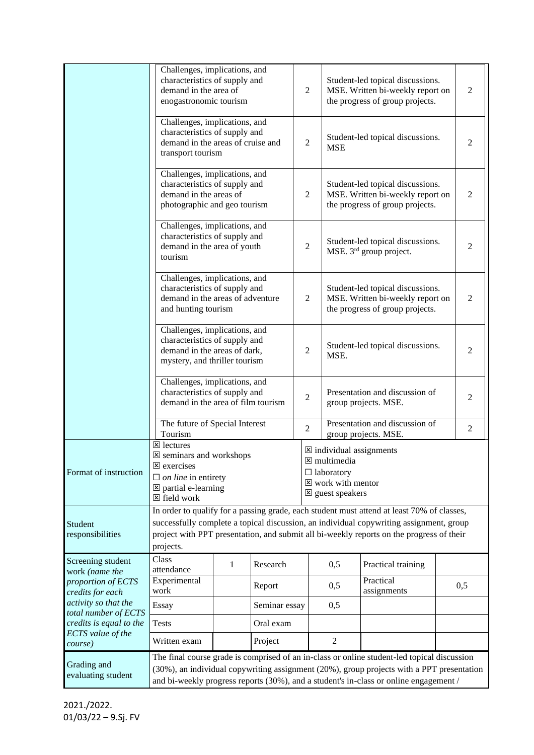|                                              | Challenges, implications, and<br>characteristics of supply and<br>demand in the area of<br>enogastronomic tourism                                                                                                                                                                                         |   |               |                | $\overline{2}$ | Student-led topical discussions.<br>MSE. Written bi-weekly report on<br>the progress of group projects. | 2                                                                                                                                                                                                                                                                                 |     |  |  |
|----------------------------------------------|-----------------------------------------------------------------------------------------------------------------------------------------------------------------------------------------------------------------------------------------------------------------------------------------------------------|---|---------------|----------------|----------------|---------------------------------------------------------------------------------------------------------|-----------------------------------------------------------------------------------------------------------------------------------------------------------------------------------------------------------------------------------------------------------------------------------|-----|--|--|
|                                              | Challenges, implications, and<br>characteristics of supply and<br>demand in the areas of cruise and<br>transport tourism                                                                                                                                                                                  |   |               |                | $\mathbf{2}$   | Student-led topical discussions.<br><b>MSE</b>                                                          | 2                                                                                                                                                                                                                                                                                 |     |  |  |
|                                              | Challenges, implications, and<br>characteristics of supply and<br>demand in the areas of<br>photographic and geo tourism                                                                                                                                                                                  |   |               |                | $\overline{2}$ | Student-led topical discussions.<br>MSE. Written bi-weekly report on<br>the progress of group projects. | 2                                                                                                                                                                                                                                                                                 |     |  |  |
|                                              | Challenges, implications, and<br>characteristics of supply and<br>demand in the area of youth<br>tourism                                                                                                                                                                                                  |   |               |                | $\mathfrak{2}$ | Student-led topical discussions.<br>MSE. 3 <sup>rd</sup> group project.                                 | 2                                                                                                                                                                                                                                                                                 |     |  |  |
|                                              | Challenges, implications, and<br>characteristics of supply and<br>demand in the areas of adventure<br>and hunting tourism                                                                                                                                                                                 |   |               |                | 2              | Student-led topical discussions.<br>MSE. Written bi-weekly report on<br>the progress of group projects. |                                                                                                                                                                                                                                                                                   |     |  |  |
|                                              | Challenges, implications, and<br>characteristics of supply and<br>demand in the areas of dark,<br>mystery, and thriller tourism                                                                                                                                                                           |   |               |                | 2              | Student-led topical discussions.<br>MSE.                                                                |                                                                                                                                                                                                                                                                                   |     |  |  |
|                                              | Challenges, implications, and<br>characteristics of supply and<br>Presentation and discussion of<br>2<br>demand in the area of film tourism<br>group projects. MSE.                                                                                                                                       |   |               | 2              |                |                                                                                                         |                                                                                                                                                                                                                                                                                   |     |  |  |
|                                              | The future of Special Interest<br>Tourism                                                                                                                                                                                                                                                                 |   |               | $\mathfrak{2}$ |                |                                                                                                         | Presentation and discussion of<br>group projects. MSE.                                                                                                                                                                                                                            | 2   |  |  |
| Format of instruction                        | $\boxtimes$ lectures<br>$\boxtimes$ individual assignments<br>X seminars and workshops<br>$\boxtimes$ multimedia<br><b>E</b> exercises<br>$\Box$ laboratory<br>$\Box$ on line in entirety<br>$\boxtimes$ work with mentor<br>$\boxtimes$ partial e-learning<br>$\boxtimes$ guest speakers<br>⊠ field work |   |               |                |                |                                                                                                         |                                                                                                                                                                                                                                                                                   |     |  |  |
| Student<br>responsibilities                  | In order to qualify for a passing grade, each student must attend at least 70% of classes,<br>successfully complete a topical discussion, an individual copywriting assignment, group<br>project with PPT presentation, and submit all bi-weekly reports on the progress of their<br>projects.            |   |               |                |                |                                                                                                         |                                                                                                                                                                                                                                                                                   |     |  |  |
| Screening student<br>work (name the          | Class<br>attendance                                                                                                                                                                                                                                                                                       | 1 | Research      |                |                | 0,5                                                                                                     | Practical training                                                                                                                                                                                                                                                                |     |  |  |
| proportion of ECTS<br>credits for each       | Experimental<br>work                                                                                                                                                                                                                                                                                      |   | Report        |                |                | 0,5                                                                                                     | Practical<br>assignments                                                                                                                                                                                                                                                          | 0,5 |  |  |
| activity so that the<br>total number of ECTS | Essay                                                                                                                                                                                                                                                                                                     |   | Seminar essay |                |                | 0,5                                                                                                     |                                                                                                                                                                                                                                                                                   |     |  |  |
| credits is equal to the                      | <b>Tests</b>                                                                                                                                                                                                                                                                                              |   | Oral exam     |                |                |                                                                                                         |                                                                                                                                                                                                                                                                                   |     |  |  |
| ECTS value of the<br>course)                 | Written exam                                                                                                                                                                                                                                                                                              |   | Project       |                |                | $\mathbf{2}$                                                                                            |                                                                                                                                                                                                                                                                                   |     |  |  |
| Grading and<br>evaluating student            |                                                                                                                                                                                                                                                                                                           |   |               |                |                |                                                                                                         | The final course grade is comprised of an in-class or online student-led topical discussion<br>(30%), an individual copywriting assignment (20%), group projects with a PPT presentation<br>and bi-weekly progress reports (30%), and a student's in-class or online engagement / |     |  |  |